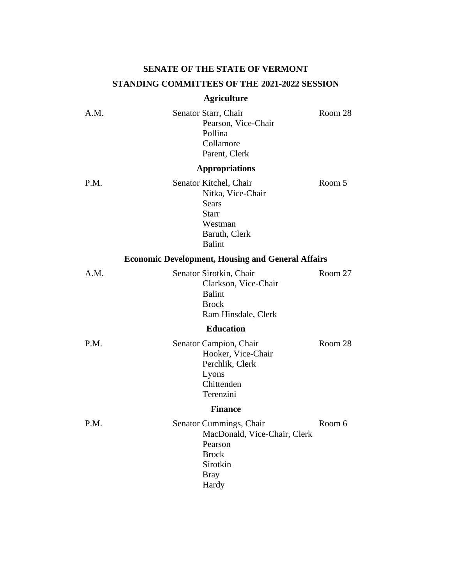## **SENATE OF THE STATE OF VERMONT STANDING COMMITTEES OF THE 2021-2022 SESSION**

## **Agriculture**

| A.M. | Senator Starr, Chair<br>Pearson, Vice-Chair<br>Pollina<br>Collamore<br>Parent, Clerk                                   | Room 28 |
|------|------------------------------------------------------------------------------------------------------------------------|---------|
|      | <b>Appropriations</b>                                                                                                  |         |
| P.M. | Senator Kitchel, Chair<br>Nitka, Vice-Chair<br>Sears<br><b>Starr</b><br>Westman<br>Baruth, Clerk<br>Balint             | Room 5  |
|      | <b>Economic Development, Housing and General Affairs</b>                                                               |         |
| A.M. | Senator Sirotkin, Chair<br>Clarkson, Vice-Chair<br><b>Balint</b><br><b>Brock</b><br>Ram Hinsdale, Clerk                | Room 27 |
|      | <b>Education</b>                                                                                                       |         |
| P.M. | Senator Campion, Chair<br>Hooker, Vice-Chair<br>Perchlik, Clerk<br>Lyons<br>Chittenden<br>Terenzini                    | Room 28 |
|      | <b>Finance</b>                                                                                                         |         |
| P.M. | Senator Cummings, Chair<br>MacDonald, Vice-Chair, Clerk<br>Pearson<br><b>Brock</b><br>Sirotkin<br><b>Bray</b><br>Hardy | Room 6  |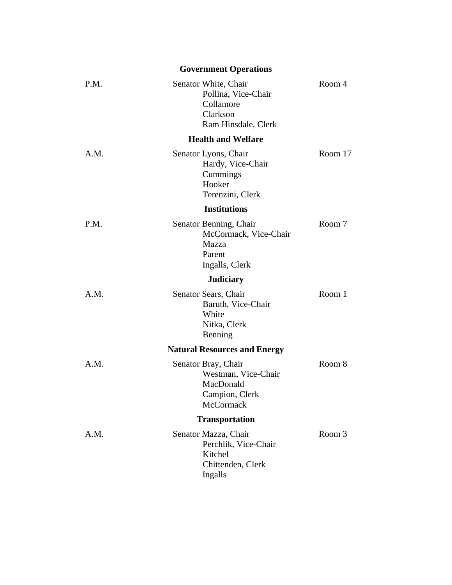|      | <b>Government Operations</b>                                                                  |         |
|------|-----------------------------------------------------------------------------------------------|---------|
| P.M. | Senator White, Chair<br>Pollina, Vice-Chair<br>Collamore<br>Clarkson<br>Ram Hinsdale, Clerk   | Room 4  |
|      | <b>Health and Welfare</b>                                                                     |         |
| A.M. | Senator Lyons, Chair<br>Hardy, Vice-Chair<br>Cummings<br>Hooker<br>Terenzini, Clerk           | Room 17 |
|      | <b>Institutions</b>                                                                           |         |
| P.M. | Senator Benning, Chair<br>McCormack, Vice-Chair<br>Mazza<br>Parent<br>Ingalls, Clerk          | Room 7  |
|      | <b>Judiciary</b>                                                                              |         |
| A.M. | Senator Sears, Chair<br>Baruth, Vice-Chair<br>White<br>Nitka, Clerk<br>Benning                | Room 1  |
|      | <b>Natural Resources and Energy</b>                                                           |         |
| A.M. | Senator Bray, Chair<br>Westman, Vice-Chair<br>MacDonald<br>Campion, Clerk<br><b>McCormack</b> | Room 8  |
|      | <b>Transportation</b>                                                                         |         |
| A.M. | Senator Mazza, Chair<br>Perchlik, Vice-Chair<br>Kitchel<br>Chittenden, Clerk<br>Ingalls       | Room 3  |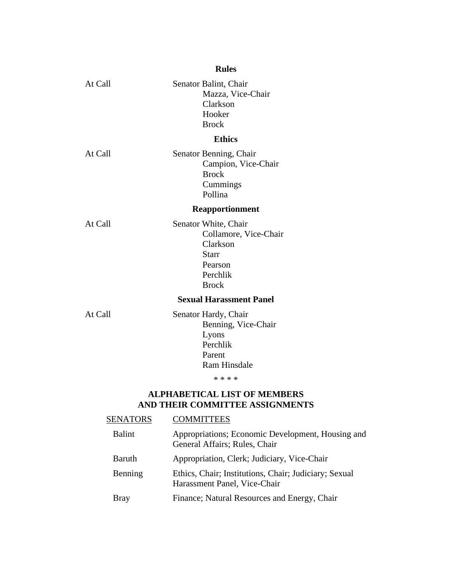|         | <b>Rules</b>                                                                                                     |
|---------|------------------------------------------------------------------------------------------------------------------|
| At Call | Senator Balint, Chair<br>Mazza, Vice-Chair<br>Clarkson<br>Hooker<br><b>Brock</b>                                 |
|         | <b>Ethics</b>                                                                                                    |
| At Call | Senator Benning, Chair<br>Campion, Vice-Chair<br><b>Brock</b><br>Cummings<br>Pollina                             |
|         | <b>Reapportionment</b>                                                                                           |
| At Call | Senator White, Chair<br>Collamore, Vice-Chair<br>Clarkson<br><b>Starr</b><br>Pearson<br>Perchlik<br><b>Brock</b> |
|         | <b>Sexual Harassment Panel</b>                                                                                   |
| At Call | Senator Hardy, Chair<br>Benning, Vice-Chair<br>Lyons<br>Perchlik<br>Parent<br><b>Ram Hinsdale</b><br>* * * *     |
|         |                                                                                                                  |

## **AND THEIR COMMITTEE ASSIGNMENTS**

| SENATORS      | <b>COMMITTEES</b>                                                                     |
|---------------|---------------------------------------------------------------------------------------|
| <b>Balint</b> | Appropriations; Economic Development, Housing and<br>General Affairs; Rules, Chair    |
| <b>Baruth</b> | Appropriation, Clerk; Judiciary, Vice-Chair                                           |
| Benning       | Ethics, Chair; Institutions, Chair; Judiciary; Sexual<br>Harassment Panel, Vice-Chair |
| Bray          | Finance; Natural Resources and Energy, Chair                                          |
|               |                                                                                       |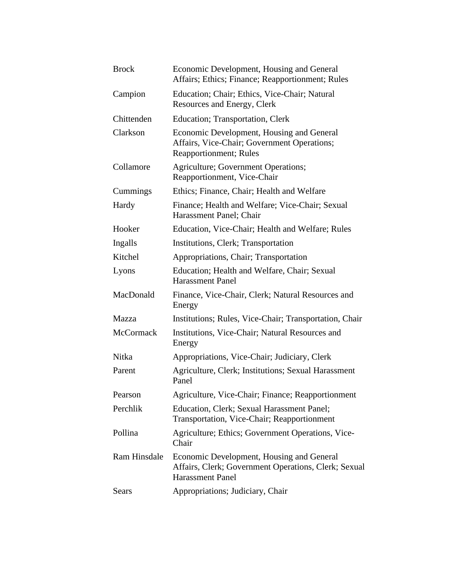| <b>Brock</b> | Economic Development, Housing and General<br>Affairs; Ethics; Finance; Reapportionment; Rules                                |
|--------------|------------------------------------------------------------------------------------------------------------------------------|
| Campion      | Education; Chair; Ethics, Vice-Chair; Natural<br>Resources and Energy, Clerk                                                 |
| Chittenden   | Education; Transportation, Clerk                                                                                             |
| Clarkson     | Economic Development, Housing and General<br>Affairs, Vice-Chair; Government Operations;<br><b>Reapportionment</b> ; Rules   |
| Collamore    | <b>Agriculture</b> ; Government Operations;<br>Reapportionment, Vice-Chair                                                   |
| Cummings     | Ethics; Finance, Chair; Health and Welfare                                                                                   |
| Hardy        | Finance; Health and Welfare; Vice-Chair; Sexual<br>Harassment Panel; Chair                                                   |
| Hooker       | Education, Vice-Chair; Health and Welfare; Rules                                                                             |
| Ingalls      | Institutions, Clerk; Transportation                                                                                          |
| Kitchel      | Appropriations, Chair; Transportation                                                                                        |
| Lyons        | Education; Health and Welfare, Chair; Sexual<br><b>Harassment Panel</b>                                                      |
| MacDonald    | Finance, Vice-Chair, Clerk; Natural Resources and<br>Energy                                                                  |
| Mazza        | Institutions; Rules, Vice-Chair; Transportation, Chair                                                                       |
| McCormack    | Institutions, Vice-Chair; Natural Resources and<br>Energy                                                                    |
| Nitka        | Appropriations, Vice-Chair; Judiciary, Clerk                                                                                 |
| Parent       | Agriculture, Clerk; Institutions; Sexual Harassment<br>Panel                                                                 |
| Pearson      | Agriculture, Vice-Chair; Finance; Reapportionment                                                                            |
| Perchlik     | Education, Clerk; Sexual Harassment Panel;<br>Transportation, Vice-Chair; Reapportionment                                    |
| Pollina      | Agriculture; Ethics; Government Operations, Vice-<br>Chair                                                                   |
| Ram Hinsdale | Economic Development, Housing and General<br>Affairs, Clerk; Government Operations, Clerk; Sexual<br><b>Harassment Panel</b> |
| Sears        | Appropriations; Judiciary, Chair                                                                                             |